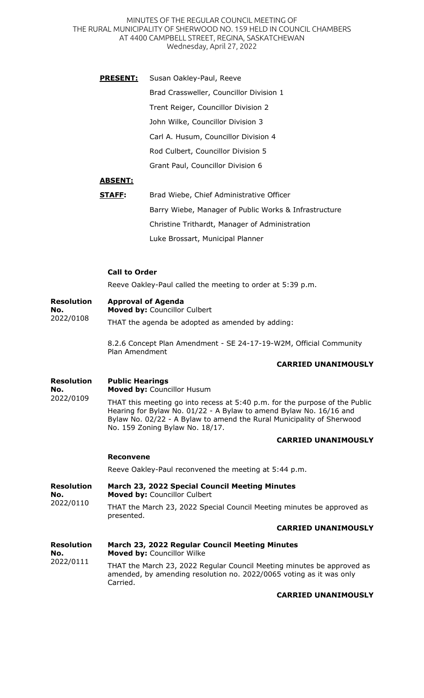MINUTES OF THE REGULAR COUNCIL MEETING OF THE RURAL MUNICIPALITY OF SHERWOOD NO. 159 HELD IN COUNCIL CHAMBERS AT 4400 CAMPBELL STREET, REGINA, SASKATCHEWAN Wednesday, April 27, 2022

**PRESENT:** Susan Oakley-Paul, Reeve Brad Crassweller, Councillor Division 1 Trent Reiger, Councillor Division 2 John Wilke, Councillor Division 3 Carl A. Husum, Councillor Division 4 Rod Culbert, Councillor Division 5 Grant Paul, Councillor Division 6

# **ABSENT:**

| STAFF: | Brad Wiebe, Chief Administrative Officer              |
|--------|-------------------------------------------------------|
|        | Barry Wiebe, Manager of Public Works & Infrastructure |
|        | Christine Trithardt, Manager of Administration        |
|        | Luke Brossart, Municipal Planner                      |

### **Call to Order**

Reeve Oakley-Paul called the meeting to order at 5:39 p.m.

#### **Resolution Approval of Agenda**

**No.**  2022/0108 **Moved by:** Councillor Culbert THAT the agenda be adopted as amended by adding:

> 8.2.6 Concept Plan Amendment - SE 24-17-19-W2M, Official Community Plan Amendment

## **CARRIED UNANIMOUSLY**

#### **Resolution Public Hearings**

**No.**  2022/0109 **Moved by:** Councillor Husum

THAT this meeting go into recess at 5:40 p.m. for the purpose of the Public Hearing for Bylaw No. 01/22 - A Bylaw to amend Bylaw No. 16/16 and Bylaw No. 02/22 - A Bylaw to amend the Rural Municipality of Sherwood No. 159 Zoning Bylaw No. 18/17.

### **CARRIED UNANIMOUSLY**

### **Reconvene**

Reeve Oakley-Paul reconvened the meeting at 5:44 p.m.

**Resolution No.**  2022/0110 **March 23, 2022 Special Council Meeting Minutes Moved by:** Councillor Culbert THAT the March 23, 2022 Special Council Meeting minutes be approved as presented.

### **CARRIED UNANIMOUSLY**

| <b>Resolution</b><br>No.<br>2022/0111 | March 23, 2022 Regular Council Meeting Minutes<br>Moved by: Councillor Wilke                                                                              |
|---------------------------------------|-----------------------------------------------------------------------------------------------------------------------------------------------------------|
|                                       | THAT the March 23, 2022 Regular Council Meeting minutes be approved as<br>amended, by amending resolution no. 2022/0065 voting as it was only<br>Carried. |

**CARRIED UNANIMOUSLY**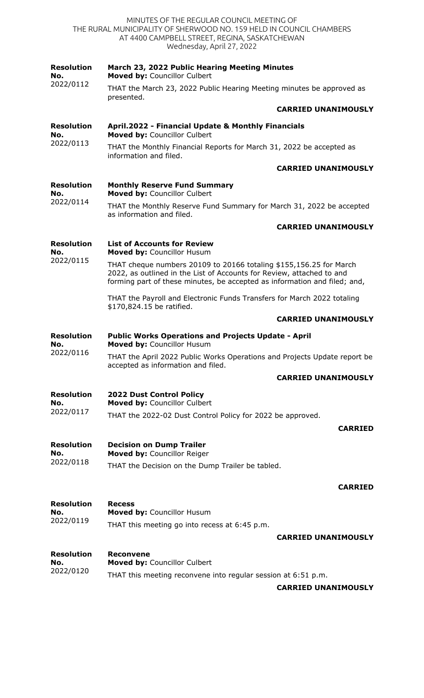|                                       | THAT cheque numbers 20109 to 20166 totaling \$155,156.25 for March<br>2022, as outlined in the List of Accounts for Review, attached to and<br>forming part of these minutes, be accepted as information and filed; and,<br>THAT the Payroll and Electronic Funds Transfers for March 2022 totaling<br>\$170,824.15 be ratified.<br><b>CARRIED UNANIMOUSLY</b> |
|---------------------------------------|----------------------------------------------------------------------------------------------------------------------------------------------------------------------------------------------------------------------------------------------------------------------------------------------------------------------------------------------------------------|
|                                       |                                                                                                                                                                                                                                                                                                                                                                |
|                                       |                                                                                                                                                                                                                                                                                                                                                                |
|                                       |                                                                                                                                                                                                                                                                                                                                                                |
| <b>Resolution</b><br>No.<br>2022/0115 | <b>List of Accounts for Review</b><br>Moved by: Councillor Husum                                                                                                                                                                                                                                                                                               |
|                                       | <b>CARRIED UNANIMOUSLY</b>                                                                                                                                                                                                                                                                                                                                     |
| 2022/0114                             | THAT the Monthly Reserve Fund Summary for March 31, 2022 be accepted<br>as information and filed.                                                                                                                                                                                                                                                              |
| <b>Resolution</b><br>No.              | <b>Monthly Reserve Fund Summary</b><br>Moved by: Councillor Culbert                                                                                                                                                                                                                                                                                            |
|                                       | <b>CARRIED UNANIMOUSLY</b>                                                                                                                                                                                                                                                                                                                                     |
| 2022/0113                             | THAT the Monthly Financial Reports for March 31, 2022 be accepted as<br>information and filed.                                                                                                                                                                                                                                                                 |
| <b>Resolution</b><br>No.              | April.2022 - Financial Update & Monthly Financials<br>Moved by: Councillor Culbert                                                                                                                                                                                                                                                                             |
|                                       | <b>CARRIED UNANIMOUSLY</b>                                                                                                                                                                                                                                                                                                                                     |
|                                       | THAT the March 23, 2022 Public Hearing Meeting minutes be approved as<br>presented.                                                                                                                                                                                                                                                                            |
| <b>Resolution</b><br>No.<br>2022/0112 | March 23, 2022 Public Hearing Meeting Minutes<br>Moved by: Councillor Culbert                                                                                                                                                                                                                                                                                  |
|                                       | MINUTES OF THE REGULAR COUNCIL MEETING OF<br>THE RURAL MUNICIPALITY OF SHERWOOD NO. 159 HELD IN COUNCIL CHAMBERS<br>AT 4400 CAMPBELL STREET, REGINA, SASKATCHEWAN<br>Wednesday, April 27, 2022                                                                                                                                                                 |

2022/0116 THAT the April 2022 Public Works Operations and Projects Update report be accepted as information and filed.

# **CARRIED UNANIMOUSLY**

**Resolution No.**  2022/0117 **2022 Dust Control Policy Moved by:** Councillor Culbert THAT the 2022-02 Dust Control Policy for 2022 be approved.

**CARRIED**

**Resolution No.**  2022/0118 **Decision on Dump Trailer Moved by:** Councillor Reiger THAT the Decision on the Dump Trailer be tabled.

### **CARRIED**

**Resolution No.**  2022/0119 **Recess Moved by:** Councillor Husum THAT this meeting go into recess at 6:45 p.m.

**CARRIED UNANIMOUSLY**

**Resolution Reconvene**

| Resolution | Reconvene                                                     |
|------------|---------------------------------------------------------------|
| No.        | <b>Moved by: Councillor Culbert</b>                           |
| 2022/0120  | THAT this meeting reconvene into regular session at 6:51 p.m. |

**CARRIED UNANIMOUSLY**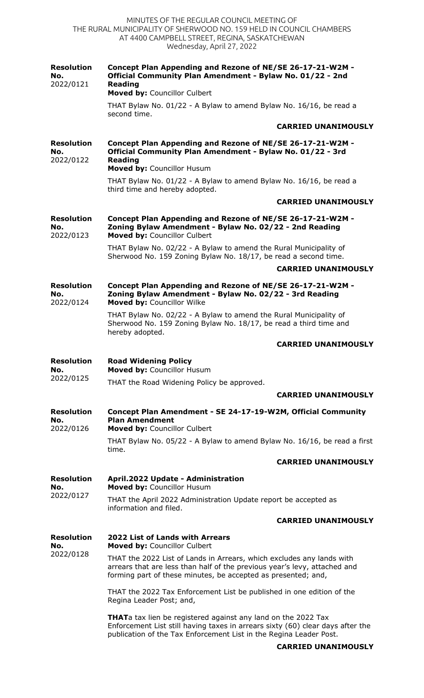MINUTES OF THE REGULAR COUNCIL MEETING OF THE RURAL MUNICIPALITY OF SHERWOOD NO. 159 HELD IN COUNCIL CHAMBERS AT 4400 CAMPBELL STREET, REGINA, SASKATCHEWAN Wednesday, April 27, 2022

| <b>Resolution</b><br>No.<br>2022/0121 | Concept Plan Appending and Rezone of NE/SE 26-17-21-W2M -<br>Official Community Plan Amendment - Bylaw No. 01/22 - 2nd<br><b>Reading</b><br>Moved by: Councillor Culbert                                                                                   |
|---------------------------------------|------------------------------------------------------------------------------------------------------------------------------------------------------------------------------------------------------------------------------------------------------------|
|                                       | THAT Bylaw No. 01/22 - A Bylaw to amend Bylaw No. 16/16, be read a<br>second time.                                                                                                                                                                         |
|                                       | <b>CARRIED UNANIMOUSLY</b>                                                                                                                                                                                                                                 |
| <b>Resolution</b><br>No.<br>2022/0122 | Concept Plan Appending and Rezone of NE/SE 26-17-21-W2M -<br>Official Community Plan Amendment - Bylaw No. 01/22 - 3rd<br><b>Reading</b><br>Moved by: Councillor Husum                                                                                     |
|                                       | THAT Bylaw No. 01/22 - A Bylaw to amend Bylaw No. 16/16, be read a<br>third time and hereby adopted.                                                                                                                                                       |
|                                       | <b>CARRIED UNANIMOUSLY</b>                                                                                                                                                                                                                                 |
| <b>Resolution</b><br>No.<br>2022/0123 | Concept Plan Appending and Rezone of NE/SE 26-17-21-W2M -<br>Zoning Bylaw Amendment - Bylaw No. 02/22 - 2nd Reading<br>Moved by: Councillor Culbert                                                                                                        |
|                                       | THAT Bylaw No. 02/22 - A Bylaw to amend the Rural Municipality of<br>Sherwood No. 159 Zoning Bylaw No. 18/17, be read a second time.<br><b>CARRIED UNANIMOUSLY</b>                                                                                         |
| <b>Resolution</b><br>No.<br>2022/0124 | Concept Plan Appending and Rezone of NE/SE 26-17-21-W2M -<br>Zoning Bylaw Amendment - Bylaw No. 02/22 - 3rd Reading<br>Moved by: Councillor Wilke                                                                                                          |
|                                       | THAT Bylaw No. 02/22 - A Bylaw to amend the Rural Municipality of<br>Sherwood No. 159 Zoning Bylaw No. 18/17, be read a third time and<br>hereby adopted.                                                                                                  |
|                                       | <b>CARRIED UNANIMOUSLY</b>                                                                                                                                                                                                                                 |
| <b>Resolution</b><br>No.              | <b>Road Widening Policy</b><br>Moved by: Councillor Husum                                                                                                                                                                                                  |
| 2022/0125                             | THAT the Road Widening Policy be approved.                                                                                                                                                                                                                 |
|                                       | <b>CARRIED UNANIMOUSLY</b>                                                                                                                                                                                                                                 |
| <b>Resolution</b><br>No.<br>2022/0126 | Concept Plan Amendment - SE 24-17-19-W2M, Official Community<br><b>Plan Amendment</b><br>Moved by: Councillor Culbert                                                                                                                                      |
|                                       | THAT Bylaw No. 05/22 - A Bylaw to amend Bylaw No. 16/16, be read a first<br>time.                                                                                                                                                                          |
|                                       | <b>CARRIED UNANIMOUSLY</b>                                                                                                                                                                                                                                 |
| <b>Resolution</b><br>No.<br>2022/0127 | April.2022 Update - Administration<br>Moved by: Councillor Husum                                                                                                                                                                                           |
|                                       | THAT the April 2022 Administration Update report be accepted as<br>information and filed.                                                                                                                                                                  |
|                                       | <b>CARRIED UNANIMOUSLY</b>                                                                                                                                                                                                                                 |
| <b>Resolution</b><br>No.              | <b>2022 List of Lands with Arrears</b><br>Moved by: Councillor Culbert                                                                                                                                                                                     |
| 2022/0128                             | THAT the 2022 List of Lands in Arrears, which excludes any lands with<br>arrears that are less than half of the previous year's levy, attached and<br>forming part of these minutes, be accepted as presented; and,                                        |
|                                       | THAT the 2022 Tax Enforcement List be published in one edition of the<br>Regina Leader Post; and,                                                                                                                                                          |
|                                       | <b>THAT</b> atax lien be registered against any land on the 2022 Tax<br>Enforcement List still having taxes in arrears sixty (60) clear days after the<br>publication of the Tax Enforcement List in the Regina Leader Post.<br><b>CARRIED UNANIMOUSLY</b> |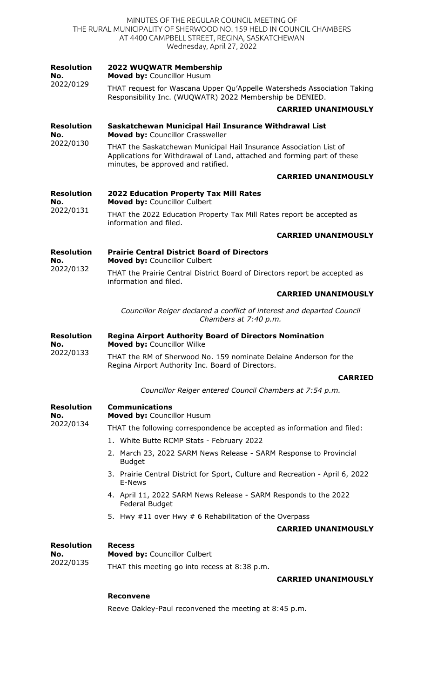| MINUTES OF THE REGULAR COUNCIL MEETING OF<br>THE RURAL MUNICIPALITY OF SHERWOOD NO. 159 HELD IN COUNCIL CHAMBERS<br>AT 4400 CAMPBELL STREET, REGINA, SASKATCHEWAN<br>Wednesday, April 27, 2022 |                                                                                                                                                                                     |  |
|------------------------------------------------------------------------------------------------------------------------------------------------------------------------------------------------|-------------------------------------------------------------------------------------------------------------------------------------------------------------------------------------|--|
| <b>Resolution</b><br>No.<br>2022/0129                                                                                                                                                          | 2022 WUQWATR Membership<br>Moved by: Councillor Husum                                                                                                                               |  |
|                                                                                                                                                                                                | THAT request for Wascana Upper Qu'Appelle Watersheds Association Taking<br>Responsibility Inc. (WUQWATR) 2022 Membership be DENIED.                                                 |  |
|                                                                                                                                                                                                | <b>CARRIED UNANIMOUSLY</b>                                                                                                                                                          |  |
| <b>Resolution</b><br>No.                                                                                                                                                                       | Saskatchewan Municipal Hail Insurance Withdrawal List<br>Moved by: Councillor Crassweller                                                                                           |  |
| 2022/0130                                                                                                                                                                                      | THAT the Saskatchewan Municipal Hail Insurance Association List of<br>Applications for Withdrawal of Land, attached and forming part of these<br>minutes, be approved and ratified. |  |
|                                                                                                                                                                                                | <b>CARRIED UNANIMOUSLY</b>                                                                                                                                                          |  |
| <b>Resolution</b>                                                                                                                                                                              | <b>2022 Education Property Tax Mill Rates</b>                                                                                                                                       |  |
| No.<br>2022/0131                                                                                                                                                                               | Moved by: Councillor Culbert<br>THAT the 2022 Education Property Tax Mill Rates report be accepted as                                                                               |  |
|                                                                                                                                                                                                | information and filed.                                                                                                                                                              |  |
|                                                                                                                                                                                                | <b>CARRIED UNANIMOUSLY</b>                                                                                                                                                          |  |
| <b>Resolution</b><br>No.                                                                                                                                                                       | <b>Prairie Central District Board of Directors</b><br>Moved by: Councillor Culbert                                                                                                  |  |
| 2022/0132                                                                                                                                                                                      | THAT the Prairie Central District Board of Directors report be accepted as<br>information and filed.                                                                                |  |
|                                                                                                                                                                                                | <b>CARRIED UNANIMOUSLY</b>                                                                                                                                                          |  |
|                                                                                                                                                                                                | Councillor Reiger declared a conflict of interest and departed Council<br>Chambers at 7:40 p.m.                                                                                     |  |
| <b>Resolution</b><br>No.                                                                                                                                                                       | <b>Regina Airport Authority Board of Directors Nomination</b><br>Moved by: Councillor Wilke                                                                                         |  |
| 2022/0133                                                                                                                                                                                      | THAT the RM of Sherwood No. 159 nominate Delaine Anderson for the<br>Regina Airport Authority Inc. Board of Directors.                                                              |  |
|                                                                                                                                                                                                | <b>CARRIED</b>                                                                                                                                                                      |  |
|                                                                                                                                                                                                | Councillor Reiger entered Council Chambers at 7:54 p.m.                                                                                                                             |  |
| <b>Resolution</b><br>No.<br>2022/0134                                                                                                                                                          | <b>Communications</b><br>Moved by: Councillor Husum                                                                                                                                 |  |
|                                                                                                                                                                                                | THAT the following correspondence be accepted as information and filed:                                                                                                             |  |
|                                                                                                                                                                                                | 1. White Butte RCMP Stats - February 2022                                                                                                                                           |  |
|                                                                                                                                                                                                | 2. March 23, 2022 SARM News Release - SARM Response to Provincial<br><b>Budget</b>                                                                                                  |  |
|                                                                                                                                                                                                | 3. Prairie Central District for Sport, Culture and Recreation - April 6, 2022<br>E-News                                                                                             |  |
|                                                                                                                                                                                                | 4. April 11, 2022 SARM News Release - SARM Responds to the 2022<br>Federal Budget                                                                                                   |  |
|                                                                                                                                                                                                | 5. Hwy #11 over Hwy # 6 Rehabilitation of the Overpass                                                                                                                              |  |
|                                                                                                                                                                                                | <b>CARRIED UNANIMOUSLY</b>                                                                                                                                                          |  |
| <b>Resolution</b><br>No.<br>2022/0135                                                                                                                                                          | <b>Recess</b><br>Moved by: Councillor Culbert                                                                                                                                       |  |
|                                                                                                                                                                                                | THAT this meeting go into recess at 8:38 p.m.                                                                                                                                       |  |
|                                                                                                                                                                                                | <b>CARRIED UNANIMOUSLY</b>                                                                                                                                                          |  |

# **Reconvene**

Reeve Oakley-Paul reconvened the meeting at 8:45 p.m.